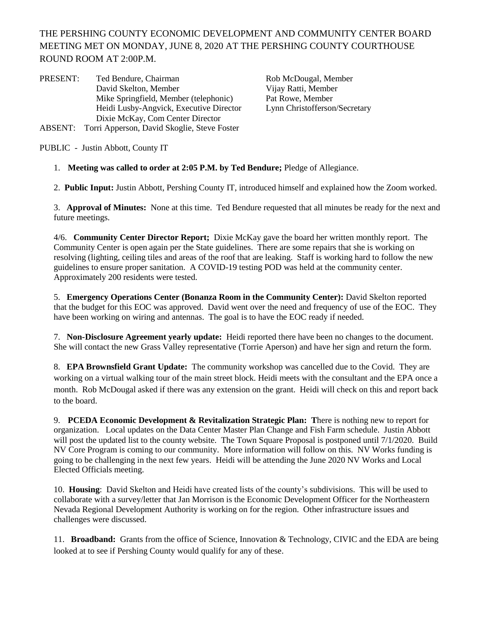THE PERSHING COUNTY ECONOMIC DEVELOPMENT AND COMMUNITY CENTER BOARD MEETING MET ON MONDAY, JUNE 8, 2020 AT THE PERSHING COUNTY COURTHOUSE ROUND ROOM AT 2:00P.M.

PRESENT: Ted Bendure, Chairman Rob McDougal, Member<br>David Skelton, Member Vijay Ratti, Member David Skelton, Member Mike Springfield, Member (telephonic) Pat Rowe, Member Heidi Lusby-Angvick, Executive Director Lynn Christofferson/Secretary Dixie McKay, Com Center Director ABSENT: Torri Apperson, David Skoglie, Steve Foster

PUBLIC - Justin Abbott, County IT

## 1. **Meeting was called to order at 2:05 P.M. by Ted Bendure;** Pledge of Allegiance.

2. **Public Input:** Justin Abbott, Pershing County IT, introduced himself and explained how the Zoom worked.

3. **Approval of Minutes:** None at this time. Ted Bendure requested that all minutes be ready for the next and future meetings.

4/6. **Community Center Director Report;** Dixie McKay gave the board her written monthly report. The Community Center is open again per the State guidelines. There are some repairs that she is working on resolving (lighting, ceiling tiles and areas of the roof that are leaking. Staff is working hard to follow the new guidelines to ensure proper sanitation. A COVID-19 testing POD was held at the community center. Approximately 200 residents were tested.

5. **Emergency Operations Center (Bonanza Room in the Community Center):** David Skelton reported that the budget for this EOC was approved. David went over the need and frequency of use of the EOC. They have been working on wiring and antennas. The goal is to have the EOC ready if needed.

7. **Non-Disclosure Agreement yearly update:** Heidi reported there have been no changes to the document. She will contact the new Grass Valley representative (Torrie Aperson) and have her sign and return the form.

8. **EPA Brownsfield Grant Update:** The community workshop was cancelled due to the Covid. They are working on a virtual walking tour of the main street block. Heidi meets with the consultant and the EPA once a month. Rob McDougal asked if there was any extension on the grant. Heidi will check on this and report back to the board.

9. **PCEDA Economic Development & Revitalization Strategic Plan: T**here is nothing new to report for organization. Local updates on the Data Center Master Plan Change and Fish Farm schedule. Justin Abbott will post the updated list to the county website. The Town Square Proposal is postponed until 7/1/2020. Build NV Core Program is coming to our community. More information will follow on this. NV Works funding is going to be challenging in the next few years. Heidi will be attending the June 2020 NV Works and Local Elected Officials meeting.

10. **Housing**: David Skelton and Heidi have created lists of the county's subdivisions. This will be used to collaborate with a survey/letter that Jan Morrison is the Economic Development Officer for the Northeastern Nevada Regional Development Authority is working on for the region. Other infrastructure issues and challenges were discussed.

11. **Broadband:** Grants from the office of Science, Innovation & Technology, CIVIC and the EDA are being looked at to see if Pershing County would qualify for any of these.